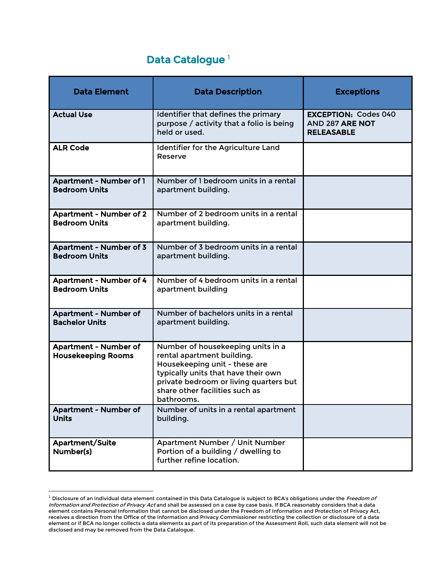## Data Catalogue<sup>[1](#page-0-0)</sup>

| <b>Data Element</b>                                       | <b>Data Description</b>                                                                                                                                                                                                           | <b>Exceptions</b>                                                          |
|-----------------------------------------------------------|-----------------------------------------------------------------------------------------------------------------------------------------------------------------------------------------------------------------------------------|----------------------------------------------------------------------------|
| <b>Actual Use</b>                                         | Identifier that defines the primary<br>purpose / activity that a folio is being<br>held or used.                                                                                                                                  | <b>EXCEPTION: Codes 040</b><br><b>AND 287 ARE NOT</b><br><b>RELEASABLE</b> |
| <b>ALR Code</b>                                           | Identifier for the Agriculture Land<br>Reserve                                                                                                                                                                                    |                                                                            |
| <b>Apartment - Number of 1</b><br><b>Bedroom Units</b>    | Number of 1 bedroom units in a rental<br>apartment building.                                                                                                                                                                      |                                                                            |
| <b>Apartment - Number of 2</b><br><b>Bedroom Units</b>    | Number of 2 bedroom units in a rental<br>apartment building.                                                                                                                                                                      |                                                                            |
| <b>Apartment - Number of 3</b><br><b>Bedroom Units</b>    | Number of 3 bedroom units in a rental<br>apartment building.                                                                                                                                                                      |                                                                            |
| <b>Apartment - Number of 4</b><br><b>Bedroom Units</b>    | Number of 4 bedroom units in a rental<br>apartment building                                                                                                                                                                       |                                                                            |
| <b>Apartment - Number of</b><br><b>Bachelor Units</b>     | Number of bachelors units in a rental<br>apartment building.                                                                                                                                                                      |                                                                            |
| <b>Apartment - Number of</b><br><b>Housekeeping Rooms</b> | Number of housekeeping units in a<br>rental apartment building.<br>Housekeeping unit - these are<br>typically units that have their own<br>private bedroom or living quarters but<br>share other facilities such as<br>bathrooms. |                                                                            |
| <b>Apartment - Number of</b><br><b>Units</b>              | Number of units in a rental apartment<br>building.                                                                                                                                                                                |                                                                            |
| <b>Apartment/Suite</b><br>Number(s)                       | Apartment Number / Unit Number<br>Portion of a building / dwelling to<br>further refine location.                                                                                                                                 |                                                                            |

<span id="page-0-0"></span> $^1$  Disclosure of an individual data element contained in this Data Catalogue is subject to BCA's obligations under the Freedom of Information and Protection of Privacy Act and shall be assessed on a case by case basis. If BCA reasonably considers that a data element contains Personal Information that cannot be disclosed under the Freedom of Information and Protection of Privacy Act, receives a direction from the Office of the Information and Privacy Commissioner restricting the collection or disclosure of a data element or if BCA no longer collects a data elements as part of its preparation of the Assessment Roll, such data element will not be disclosed and may be removed from the Data Catalogue.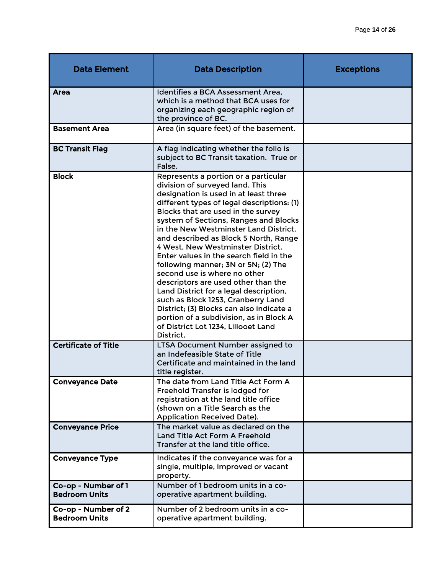| <b>Data Element</b>                         | <b>Data Description</b>                                                                                                                                                                                                                                                                                                                                                                                                                                                                                                                                                                                                                                                                                                                                  | <b>Exceptions</b> |
|---------------------------------------------|----------------------------------------------------------------------------------------------------------------------------------------------------------------------------------------------------------------------------------------------------------------------------------------------------------------------------------------------------------------------------------------------------------------------------------------------------------------------------------------------------------------------------------------------------------------------------------------------------------------------------------------------------------------------------------------------------------------------------------------------------------|-------------------|
| Area                                        | Identifies a BCA Assessment Area,<br>which is a method that BCA uses for<br>organizing each geographic region of<br>the province of BC.                                                                                                                                                                                                                                                                                                                                                                                                                                                                                                                                                                                                                  |                   |
| <b>Basement Area</b>                        | Area (in square feet) of the basement.                                                                                                                                                                                                                                                                                                                                                                                                                                                                                                                                                                                                                                                                                                                   |                   |
| <b>BC Transit Flag</b>                      | A flag indicating whether the folio is<br>subject to BC Transit taxation. True or<br>False.                                                                                                                                                                                                                                                                                                                                                                                                                                                                                                                                                                                                                                                              |                   |
| <b>Block</b>                                | Represents a portion or a particular<br>division of surveyed land. This<br>designation is used in at least three<br>different types of legal descriptions: (1)<br>Blocks that are used in the survey<br>system of Sections, Ranges and Blocks<br>in the New Westminster Land District,<br>and described as Block 5 North, Range<br>4 West, New Westminster District.<br>Enter values in the search field in the<br>following manner; 3N or 5N; (2) The<br>second use is where no other<br>descriptors are used other than the<br>Land District for a legal description,<br>such as Block 1253, Cranberry Land<br>District; (3) Blocks can also indicate a<br>portion of a subdivision, as in Block A<br>of District Lot 1234, Lillooet Land<br>District. |                   |
| <b>Certificate of Title</b>                 | LTSA Document Number assigned to<br>an Indefeasible State of Title<br>Certificate and maintained in the land<br>title register.                                                                                                                                                                                                                                                                                                                                                                                                                                                                                                                                                                                                                          |                   |
| <b>Conveyance Date</b>                      | The date from Land Title Act Form A<br>Freehold Transfer is lodged for<br>registration at the land title office<br>(shown on a Title Search as the<br><b>Application Received Date).</b>                                                                                                                                                                                                                                                                                                                                                                                                                                                                                                                                                                 |                   |
| <b>Conveyance Price</b>                     | The market value as declared on the<br>Land Title Act Form A Freehold<br>Transfer at the land title office.                                                                                                                                                                                                                                                                                                                                                                                                                                                                                                                                                                                                                                              |                   |
| <b>Conveyance Type</b>                      | Indicates if the conveyance was for a<br>single, multiple, improved or vacant<br>property.                                                                                                                                                                                                                                                                                                                                                                                                                                                                                                                                                                                                                                                               |                   |
| Co-op - Number of 1<br><b>Bedroom Units</b> | Number of 1 bedroom units in a co-<br>operative apartment building.                                                                                                                                                                                                                                                                                                                                                                                                                                                                                                                                                                                                                                                                                      |                   |
| Co-op - Number of 2<br><b>Bedroom Units</b> | Number of 2 bedroom units in a co-<br>operative apartment building.                                                                                                                                                                                                                                                                                                                                                                                                                                                                                                                                                                                                                                                                                      |                   |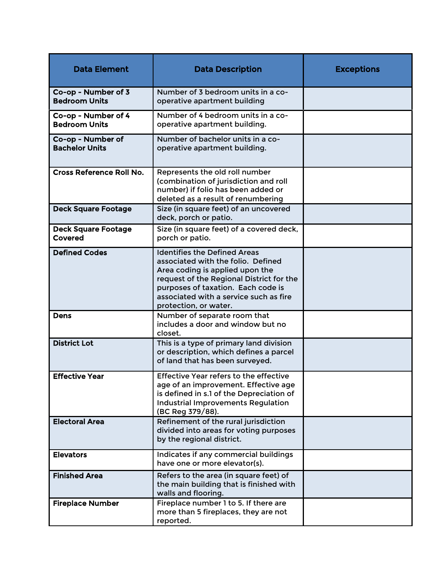| <b>Data Element</b>                         | <b>Data Description</b>                                                                                                                                                                                                                                           | <b>Exceptions</b> |
|---------------------------------------------|-------------------------------------------------------------------------------------------------------------------------------------------------------------------------------------------------------------------------------------------------------------------|-------------------|
| Co-op - Number of 3<br><b>Bedroom Units</b> | Number of 3 bedroom units in a co-<br>operative apartment building                                                                                                                                                                                                |                   |
| Co-op - Number of 4<br><b>Bedroom Units</b> | Number of 4 bedroom units in a co-<br>operative apartment building.                                                                                                                                                                                               |                   |
| Co-op - Number of<br><b>Bachelor Units</b>  | Number of bachelor units in a co-<br>operative apartment building.                                                                                                                                                                                                |                   |
| <b>Cross Reference Roll No.</b>             | Represents the old roll number<br>(combination of jurisdiction and roll<br>number) if folio has been added or<br>deleted as a result of renumbering                                                                                                               |                   |
| <b>Deck Square Footage</b>                  | Size (in square feet) of an uncovered<br>deck, porch or patio.                                                                                                                                                                                                    |                   |
| <b>Deck Square Footage</b><br>Covered       | Size (in square feet) of a covered deck,<br>porch or patio.                                                                                                                                                                                                       |                   |
| <b>Defined Codes</b>                        | <b>Identifies the Defined Areas</b><br>associated with the folio. Defined<br>Area coding is applied upon the<br>request of the Regional District for the<br>purposes of taxation. Each code is<br>associated with a service such as fire<br>protection, or water. |                   |
| <b>Dens</b>                                 | Number of separate room that<br>includes a door and window but no<br>closet.                                                                                                                                                                                      |                   |
| <b>District Lot</b>                         | This is a type of primary land division<br>or description, which defines a parcel<br>of land that has been surveyed.                                                                                                                                              |                   |
| <b>Effective Year</b>                       | Effective Year refers to the effective<br>age of an improvement. Effective age<br>is defined in s.1 of the Depreciation of<br><b>Industrial Improvements Regulation</b><br>(BC Reg 379/88).                                                                       |                   |
| <b>Electoral Area</b>                       | Refinement of the rural jurisdiction<br>divided into areas for voting purposes<br>by the regional district.                                                                                                                                                       |                   |
| <b>Elevators</b>                            | Indicates if any commercial buildings<br>have one or more elevator(s).                                                                                                                                                                                            |                   |
| <b>Finished Area</b>                        | Refers to the area (in square feet) of<br>the main building that is finished with<br>walls and flooring.                                                                                                                                                          |                   |
| <b>Fireplace Number</b>                     | Fireplace number 1 to 5. If there are<br>more than 5 fireplaces, they are not<br>reported.                                                                                                                                                                        |                   |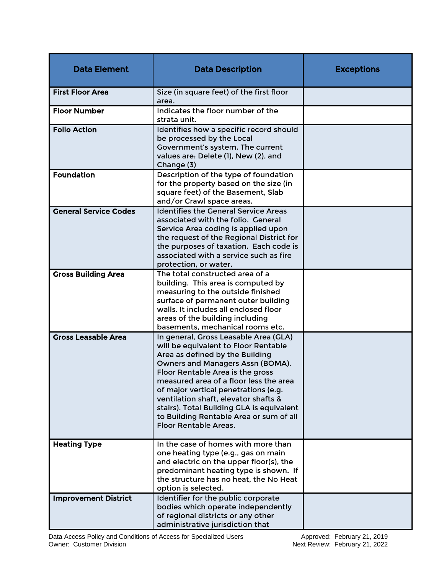| <b>Data Element</b>          | <b>Data Description</b>                                                                                                                                                                                                                                                                                                                                                                                                                     | <b>Exceptions</b> |
|------------------------------|---------------------------------------------------------------------------------------------------------------------------------------------------------------------------------------------------------------------------------------------------------------------------------------------------------------------------------------------------------------------------------------------------------------------------------------------|-------------------|
| <b>First Floor Area</b>      | Size (in square feet) of the first floor<br>area.                                                                                                                                                                                                                                                                                                                                                                                           |                   |
| <b>Floor Number</b>          | Indicates the floor number of the<br>strata unit.                                                                                                                                                                                                                                                                                                                                                                                           |                   |
| <b>Folio Action</b>          | Identifies how a specific record should<br>be processed by the Local<br>Government's system. The current<br>values are: Delete (1), New (2), and<br>Change (3)                                                                                                                                                                                                                                                                              |                   |
| <b>Foundation</b>            | Description of the type of foundation<br>for the property based on the size (in<br>square feet) of the Basement, Slab<br>and/or Crawl space areas.                                                                                                                                                                                                                                                                                          |                   |
| <b>General Service Codes</b> | <b>Identifies the General Service Areas</b><br>associated with the folio. General<br>Service Area coding is applied upon<br>the request of the Regional District for<br>the purposes of taxation. Each code is<br>associated with a service such as fire<br>protection, or water.                                                                                                                                                           |                   |
| <b>Gross Building Area</b>   | The total constructed area of a<br>building. This area is computed by<br>measuring to the outside finished<br>surface of permanent outer building<br>walls. It includes all enclosed floor<br>areas of the building including<br>basements, mechanical rooms etc.                                                                                                                                                                           |                   |
| <b>Gross Leasable Area</b>   | In general, Gross Leasable Area (GLA)<br>will be equivalent to Floor Rentable<br>Area as defined by the Building<br>Owners and Managers Assn (BOMA).<br>Floor Rentable Area is the gross<br>measured area of a floor less the area'<br>of major vertical penetrations (e.g.<br>ventilation shaft, elevator shafts &<br>stairs). Total Building GLA is equivalent<br>to Building Rentable Area or sum of all<br><b>Floor Rentable Areas.</b> |                   |
| <b>Heating Type</b>          | In the case of homes with more than<br>one heating type (e.g., gas on main<br>and electric on the upper floor(s), the<br>predominant heating type is shown. If<br>the structure has no heat, the No Heat<br>option is selected.                                                                                                                                                                                                             |                   |
| <b>Improvement District</b>  | Identifier for the public corporate<br>bodies which operate independently<br>of regional districts or any other<br>administrative jurisdiction that                                                                                                                                                                                                                                                                                         |                   |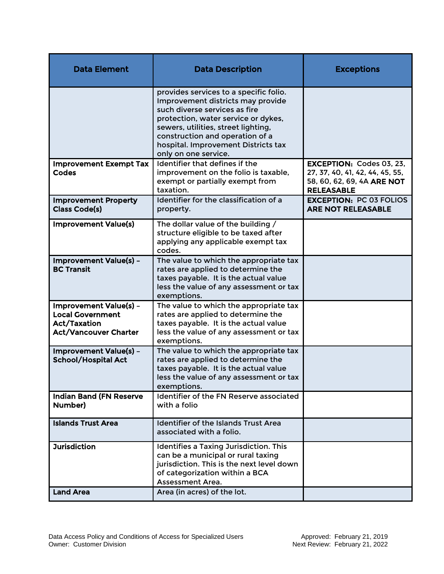| <b>Data Element</b>                                                                                      | <b>Data Description</b>                                                                                                                                                                                                                                                                      | <b>Exceptions</b>                                                                                                     |
|----------------------------------------------------------------------------------------------------------|----------------------------------------------------------------------------------------------------------------------------------------------------------------------------------------------------------------------------------------------------------------------------------------------|-----------------------------------------------------------------------------------------------------------------------|
|                                                                                                          | provides services to a specific folio.<br>Improvement districts may provide<br>such diverse services as fire<br>protection, water service or dykes,<br>sewers, utilities, street lighting,<br>construction and operation of a<br>hospital. Improvement Districts tax<br>only on one service. |                                                                                                                       |
| <b>Improvement Exempt Tax</b><br><b>Codes</b>                                                            | Identifier that defines if the<br>improvement on the folio is taxable,<br>exempt or partially exempt from<br>taxation.                                                                                                                                                                       | <b>EXCEPTION: Codes 03, 23,</b><br>27, 37, 40, 41, 42, 44, 45, 55,<br>58, 60, 62, 69, 4A ARE NOT<br><b>RELEASABLE</b> |
| <b>Improvement Property</b><br><b>Class Code(s)</b>                                                      | Identifier for the classification of a<br>property.                                                                                                                                                                                                                                          | <b>EXCEPTION: PC 03 FOLIOS</b><br><b>ARE NOT RELEASABLE</b>                                                           |
| <b>Improvement Value(s)</b>                                                                              | The dollar value of the building /<br>structure eligible to be taxed after<br>applying any applicable exempt tax<br>codes.                                                                                                                                                                   |                                                                                                                       |
| Improvement Value(s) -<br><b>BC Transit</b>                                                              | The value to which the appropriate tax<br>rates are applied to determine the<br>taxes payable. It is the actual value<br>less the value of any assessment or tax<br>exemptions.                                                                                                              |                                                                                                                       |
| Improvement Value(s) -<br><b>Local Government</b><br><b>Act/Taxation</b><br><b>Act/Vancouver Charter</b> | The value to which the appropriate tax<br>rates are applied to determine the<br>taxes payable. It is the actual value<br>less the value of any assessment or tax<br>exemptions.                                                                                                              |                                                                                                                       |
| <b>Improvement Value(s) -</b><br><b>School/Hospital Act</b>                                              | The value to which the appropriate tax<br>rates are applied to determine the<br>taxes payable. It is the actual value<br>less the value of any assessment or tax<br>exemptions.                                                                                                              |                                                                                                                       |
| <b>Indian Band (FN Reserve</b><br>Number)                                                                | Identifier of the FN Reserve associated<br>with a folio                                                                                                                                                                                                                                      |                                                                                                                       |
| <b>Islands Trust Area</b>                                                                                | <b>Identifier of the Islands Trust Area</b><br>associated with a folio.                                                                                                                                                                                                                      |                                                                                                                       |
| <b>Jurisdiction</b>                                                                                      | <b>Identifies a Taxing Jurisdiction. This</b><br>can be a municipal or rural taxing<br>jurisdiction. This is the next level down<br>of categorization within a BCA<br>Assessment Area.                                                                                                       |                                                                                                                       |
| <b>Land Area</b>                                                                                         | Area (in acres) of the lot.                                                                                                                                                                                                                                                                  |                                                                                                                       |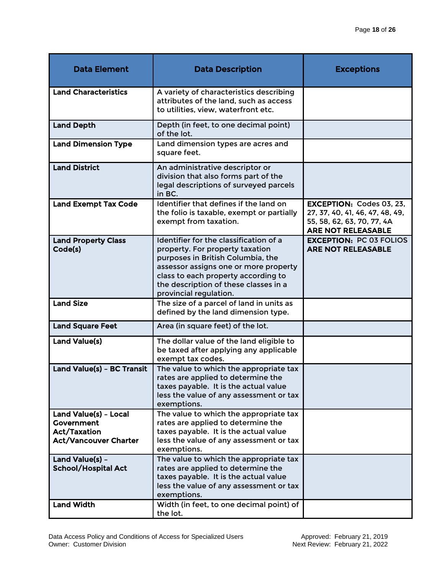| <b>Data Element</b>                                                                        | <b>Data Description</b>                                                                                                                                                                                                                                           | <b>Exceptions</b>                                                                                                             |
|--------------------------------------------------------------------------------------------|-------------------------------------------------------------------------------------------------------------------------------------------------------------------------------------------------------------------------------------------------------------------|-------------------------------------------------------------------------------------------------------------------------------|
| <b>Land Characteristics</b>                                                                | A variety of characteristics describing<br>attributes of the land, such as access<br>to utilities, view, waterfront etc.                                                                                                                                          |                                                                                                                               |
| <b>Land Depth</b>                                                                          | Depth (in feet, to one decimal point)<br>of the lot.                                                                                                                                                                                                              |                                                                                                                               |
| <b>Land Dimension Type</b>                                                                 | Land dimension types are acres and<br>square feet.                                                                                                                                                                                                                |                                                                                                                               |
| <b>Land District</b>                                                                       | An administrative descriptor or<br>division that also forms part of the<br>legal descriptions of surveyed parcels<br>in BC.                                                                                                                                       |                                                                                                                               |
| <b>Land Exempt Tax Code</b>                                                                | Identifier that defines if the land on<br>the folio is taxable, exempt or partially<br>exempt from taxation.                                                                                                                                                      | <b>EXCEPTION: Codes 03, 23,</b><br>27, 37, 40, 41, 46, 47, 48, 49,<br>55, 58, 62, 63, 70, 77, 4A<br><b>ARE NOT RELEASABLE</b> |
| <b>Land Property Class</b><br>Code(s)                                                      | Identifier for the classification of a<br>property. For property taxation<br>purposes in British Columbia, the<br>assessor assigns one or more property<br>class to each property according to<br>the description of these classes in a<br>provincial regulation. | <b>EXCEPTION: PC 03 FOLIOS</b><br><b>ARE NOT RELEASABLE</b>                                                                   |
| <b>Land Size</b>                                                                           | The size of a parcel of land in units as<br>defined by the land dimension type.                                                                                                                                                                                   |                                                                                                                               |
| <b>Land Square Feet</b>                                                                    | Area (in square feet) of the lot.                                                                                                                                                                                                                                 |                                                                                                                               |
| Land Value(s)                                                                              | The dollar value of the land eligible to<br>be taxed after applying any applicable<br>exempt tax codes.                                                                                                                                                           |                                                                                                                               |
| Land Value(s) - BC Transit                                                                 | The value to which the appropriate tax<br>rates are applied to determine the<br>taxes payable. It is the actual value<br>less the value of any assessment or tax<br>exemptions.                                                                                   |                                                                                                                               |
| Land Value(s) - Local<br>Government<br><b>Act/Taxation</b><br><b>Act/Vancouver Charter</b> | The value to which the appropriate tax<br>rates are applied to determine the<br>taxes payable. It is the actual value<br>less the value of any assessment or tax<br>exemptions.                                                                                   |                                                                                                                               |
| Land Value(s) -<br><b>School/Hospital Act</b>                                              | The value to which the appropriate tax<br>rates are applied to determine the<br>taxes payable. It is the actual value<br>less the value of any assessment or tax<br>exemptions.                                                                                   |                                                                                                                               |
| <b>Land Width</b>                                                                          | Width (in feet, to one decimal point) of<br>the lot.                                                                                                                                                                                                              |                                                                                                                               |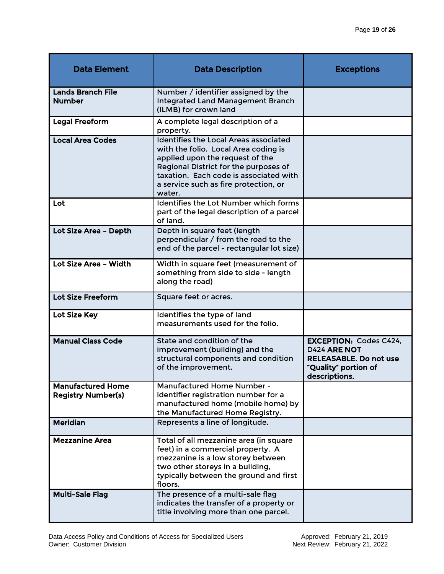| <b>Data Element</b>                                   | <b>Data Description</b>                                                                                                                                                                                                                                       | <b>Exceptions</b>                                                                                                              |
|-------------------------------------------------------|---------------------------------------------------------------------------------------------------------------------------------------------------------------------------------------------------------------------------------------------------------------|--------------------------------------------------------------------------------------------------------------------------------|
| <b>Lands Branch File</b><br><b>Number</b>             | Number / identifier assigned by the<br><b>Integrated Land Management Branch</b><br>(ILMB) for crown land                                                                                                                                                      |                                                                                                                                |
| <b>Legal Freeform</b>                                 | A complete legal description of a<br>property.                                                                                                                                                                                                                |                                                                                                                                |
| <b>Local Area Codes</b>                               | <b>Identifies the Local Areas associated</b><br>with the folio. Local Area coding is<br>applied upon the request of the<br>Regional District for the purposes of<br>taxation. Each code is associated with<br>a service such as fire protection, or<br>water. |                                                                                                                                |
| Lot                                                   | Identifies the Lot Number which forms<br>part of the legal description of a parcel<br>of land.                                                                                                                                                                |                                                                                                                                |
| Lot Size Area - Depth                                 | Depth in square feet (length<br>perpendicular / from the road to the<br>end of the parcel - rectangular lot size)                                                                                                                                             |                                                                                                                                |
| Lot Size Area - Width                                 | Width in square feet (measurement of<br>something from side to side - length<br>along the road)                                                                                                                                                               |                                                                                                                                |
| <b>Lot Size Freeform</b>                              | Square feet or acres.                                                                                                                                                                                                                                         |                                                                                                                                |
| Lot Size Key                                          | Identifies the type of land<br>measurements used for the folio.                                                                                                                                                                                               |                                                                                                                                |
| <b>Manual Class Code</b>                              | State and condition of the<br>improvement (building) and the<br>structural components and condition<br>of the improvement.                                                                                                                                    | <b>EXCEPTION: Codes C424.</b><br><b>D424 ARE NOT</b><br><b>RELEASABLE. Do not use</b><br>"Quality" portion of<br>descriptions. |
| <b>Manufactured Home</b><br><b>Registry Number(s)</b> | Manufactured Home Number -<br>identifier registration number for a<br>manufactured home (mobile home) by<br>the Manufactured Home Registry.                                                                                                                   |                                                                                                                                |
| <b>Meridian</b>                                       | Represents a line of longitude.                                                                                                                                                                                                                               |                                                                                                                                |
| <b>Mezzanine Area</b>                                 | Total of all mezzanine area (in square<br>feet) in a commercial property. A<br>mezzanine is a low storey between<br>two other storeys in a building,<br>typically between the ground and first<br>floors.                                                     |                                                                                                                                |
| <b>Multi-Sale Flag</b>                                | The presence of a multi-sale flag<br>indicates the transfer of a property or<br>title involving more than one parcel.                                                                                                                                         |                                                                                                                                |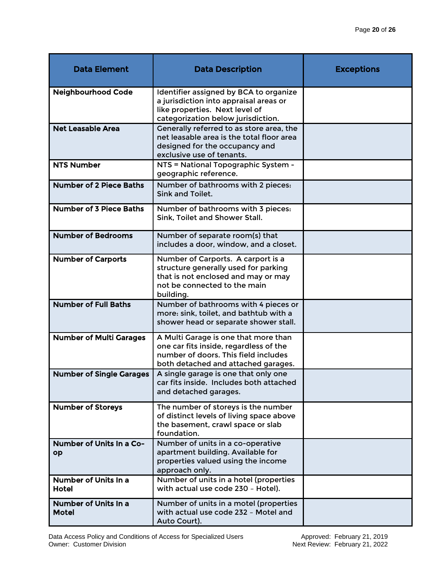| <b>Data Element</b>                  | <b>Data Description</b>                                                                                                                                        | <b>Exceptions</b> |
|--------------------------------------|----------------------------------------------------------------------------------------------------------------------------------------------------------------|-------------------|
| <b>Neighbourhood Code</b>            | Identifier assigned by BCA to organize<br>a jurisdiction into appraisal areas or<br>like properties. Next level of<br>categorization below jurisdiction.       |                   |
| <b>Net Leasable Area</b>             | Generally referred to as store area, the<br>net leasable area is the total floor area<br>designed for the occupancy and<br>exclusive use of tenants.           |                   |
| <b>NTS Number</b>                    | NTS = National Topographic System -<br>geographic reference.                                                                                                   |                   |
| <b>Number of 2 Piece Baths</b>       | Number of bathrooms with 2 pieces:<br>Sink and Toilet.                                                                                                         |                   |
| <b>Number of 3 Piece Baths</b>       | Number of bathrooms with 3 pieces:<br>Sink, Toilet and Shower Stall.                                                                                           |                   |
| <b>Number of Bedrooms</b>            | Number of separate room(s) that<br>includes a door, window, and a closet.                                                                                      |                   |
| <b>Number of Carports</b>            | Number of Carports. A carport is a<br>structure generally used for parking<br>that is not enclosed and may or may<br>not be connected to the main<br>building. |                   |
| <b>Number of Full Baths</b>          | Number of bathrooms with 4 pieces or<br>more: sink, toilet, and bathtub with a<br>shower head or separate shower stall.                                        |                   |
| <b>Number of Multi Garages</b>       | A Multi Garage is one that more than<br>one car fits inside, regardless of the<br>number of doors. This field includes<br>both detached and attached garages.  |                   |
| <b>Number of Single Garages</b>      | A single garage is one that only one<br>car fits inside. Includes both attached<br>and detached garages.                                                       |                   |
| <b>Number of Storeys</b>             | The number of storeys is the number<br>of distinct levels of living space above<br>the basement, crawl space or slab<br>foundation.                            |                   |
| Number of Units In a Co-<br>op       | Number of units in a co-operative<br>apartment building. Available for<br>properties valued using the income<br>approach only.                                 |                   |
| Number of Units In a<br><b>Hotel</b> | Number of units in a hotel (properties<br>with actual use code 230 - Hotel).                                                                                   |                   |
| Number of Units In a<br><b>Motel</b> | Number of units in a motel (properties<br>with actual use code 232 - Motel and<br>Auto Court).                                                                 |                   |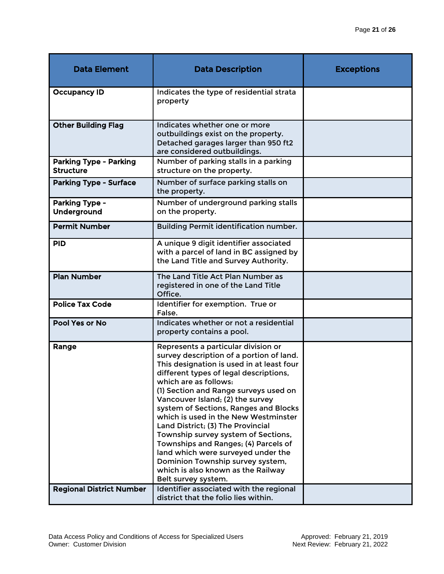| <b>Data Element</b>                               | <b>Data Description</b>                                                                                                                                                                                                                                                                                                                                                                                                                                                                                                                                                                                                  | <b>Exceptions</b> |
|---------------------------------------------------|--------------------------------------------------------------------------------------------------------------------------------------------------------------------------------------------------------------------------------------------------------------------------------------------------------------------------------------------------------------------------------------------------------------------------------------------------------------------------------------------------------------------------------------------------------------------------------------------------------------------------|-------------------|
| <b>Occupancy ID</b>                               | Indicates the type of residential strata<br>property                                                                                                                                                                                                                                                                                                                                                                                                                                                                                                                                                                     |                   |
| <b>Other Building Flag</b>                        | Indicates whether one or more<br>outbuildings exist on the property.<br>Detached garages larger than 950 ft2<br>are considered outbuildings.                                                                                                                                                                                                                                                                                                                                                                                                                                                                             |                   |
| <b>Parking Type - Parking</b><br><b>Structure</b> | Number of parking stalls in a parking<br>structure on the property.                                                                                                                                                                                                                                                                                                                                                                                                                                                                                                                                                      |                   |
| <b>Parking Type - Surface</b>                     | Number of surface parking stalls on<br>the property.                                                                                                                                                                                                                                                                                                                                                                                                                                                                                                                                                                     |                   |
| Parking Type -<br>Underground                     | Number of underground parking stalls<br>on the property.                                                                                                                                                                                                                                                                                                                                                                                                                                                                                                                                                                 |                   |
| <b>Permit Number</b>                              | Building Permit identification number.                                                                                                                                                                                                                                                                                                                                                                                                                                                                                                                                                                                   |                   |
| <b>PID</b>                                        | A unique 9 digit identifier associated<br>with a parcel of land in BC assigned by<br>the Land Title and Survey Authority.                                                                                                                                                                                                                                                                                                                                                                                                                                                                                                |                   |
| <b>Plan Number</b>                                | The Land Title Act Plan Number as<br>registered in one of the Land Title<br>Office.                                                                                                                                                                                                                                                                                                                                                                                                                                                                                                                                      |                   |
| <b>Police Tax Code</b>                            | Identifier for exemption. True or<br>False.                                                                                                                                                                                                                                                                                                                                                                                                                                                                                                                                                                              |                   |
| Pool Yes or No                                    | Indicates whether or not a residential<br>property contains a pool.                                                                                                                                                                                                                                                                                                                                                                                                                                                                                                                                                      |                   |
| Range                                             | Represents a particular division or<br>survey description of a portion of land.<br>This designation is used in at least four<br>different types of legal descriptions,<br>which are as follows:<br>(1) Section and Range surveys used on<br>Vancouver Island; (2) the survey<br>system of Sections, Ranges and Blocks<br>which is used in the New Westminster<br>Land District; (3) The Provincial<br>Township survey system of Sections,<br>Townships and Ranges; (4) Parcels of<br>land which were surveyed under the<br>Dominion Township survey system,<br>which is also known as the Railway<br>Belt survey system. |                   |
| <b>Regional District Number</b>                   | Identifier associated with the regional<br>district that the folio lies within.                                                                                                                                                                                                                                                                                                                                                                                                                                                                                                                                          |                   |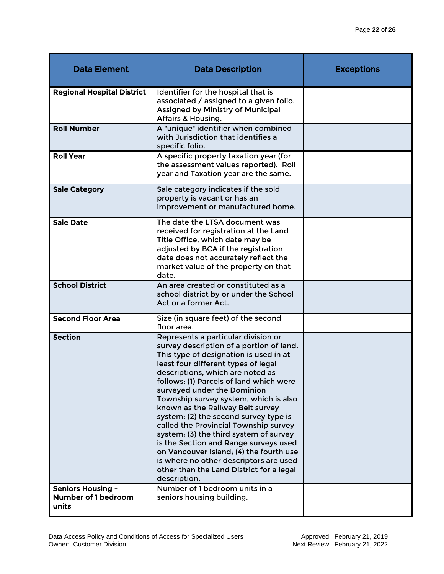| <b>Data Element</b>                                      | <b>Data Description</b>                                                                                                                                                                                                                                                                                                                                                                                                                                                                                                                                                                                                                                                           | <b>Exceptions</b> |
|----------------------------------------------------------|-----------------------------------------------------------------------------------------------------------------------------------------------------------------------------------------------------------------------------------------------------------------------------------------------------------------------------------------------------------------------------------------------------------------------------------------------------------------------------------------------------------------------------------------------------------------------------------------------------------------------------------------------------------------------------------|-------------------|
| <b>Regional Hospital District</b>                        | Identifier for the hospital that is<br>associated / assigned to a given folio.<br>Assigned by Ministry of Municipal<br><b>Affairs &amp; Housing.</b>                                                                                                                                                                                                                                                                                                                                                                                                                                                                                                                              |                   |
| <b>Roll Number</b>                                       | A "unique" identifier when combined<br>with Jurisdiction that identifies a<br>specific folio.                                                                                                                                                                                                                                                                                                                                                                                                                                                                                                                                                                                     |                   |
| <b>Roll Year</b>                                         | A specific property taxation year (for<br>the assessment values reported). Roll<br>year and Taxation year are the same.                                                                                                                                                                                                                                                                                                                                                                                                                                                                                                                                                           |                   |
| <b>Sale Category</b>                                     | Sale category indicates if the sold<br>property is vacant or has an<br>improvement or manufactured home.                                                                                                                                                                                                                                                                                                                                                                                                                                                                                                                                                                          |                   |
| <b>Sale Date</b>                                         | The date the LTSA document was<br>received for registration at the Land<br>Title Office, which date may be<br>adjusted by BCA if the registration<br>date does not accurately reflect the<br>market value of the property on that<br>date.                                                                                                                                                                                                                                                                                                                                                                                                                                        |                   |
| <b>School District</b>                                   | An area created or constituted as a<br>school district by or under the School<br>Act or a former Act.                                                                                                                                                                                                                                                                                                                                                                                                                                                                                                                                                                             |                   |
| <b>Second Floor Area</b>                                 | Size (in square feet) of the second<br>floor area.                                                                                                                                                                                                                                                                                                                                                                                                                                                                                                                                                                                                                                |                   |
| <b>Section</b>                                           | Represents a particular division or<br>survey description of a portion of land.<br>This type of designation is used in at<br>least four different types of legal<br>descriptions, which are noted as<br>follows: (1) Parcels of land which were<br>surveyed under the Dominion<br>Township survey system, which is also<br>known as the Railway Belt survey<br>system; (2) the second survey type is<br>called the Provincial Township survey<br>system; (3) the third system of survey<br>is the Section and Range surveys used<br>on Vancouver Island; (4) the fourth use<br>is where no other descriptors are used<br>other than the Land District for a legal<br>description. |                   |
| <b>Seniors Housing -</b><br>Number of 1 bedroom<br>units | Number of 1 bedroom units in a<br>seniors housing building.                                                                                                                                                                                                                                                                                                                                                                                                                                                                                                                                                                                                                       |                   |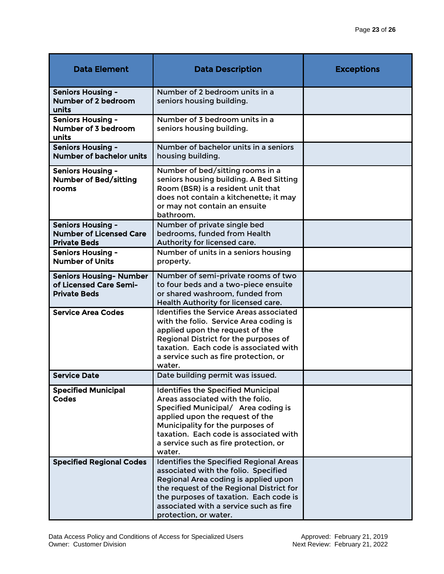| <b>Data Element</b>                                                               | <b>Data Description</b>                                                                                                                                                                                                                                                                  | <b>Exceptions</b> |
|-----------------------------------------------------------------------------------|------------------------------------------------------------------------------------------------------------------------------------------------------------------------------------------------------------------------------------------------------------------------------------------|-------------------|
| <b>Seniors Housing -</b><br>Number of 2 bedroom<br>units                          | Number of 2 bedroom units in a<br>seniors housing building.                                                                                                                                                                                                                              |                   |
| <b>Seniors Housing -</b><br>Number of 3 bedroom<br>units                          | Number of 3 bedroom units in a<br>seniors housing building.                                                                                                                                                                                                                              |                   |
| <b>Seniors Housing -</b><br><b>Number of bachelor units</b>                       | Number of bachelor units in a seniors<br>housing building.                                                                                                                                                                                                                               |                   |
| <b>Seniors Housing -</b><br><b>Number of Bed/sitting</b><br>rooms                 | Number of bed/sitting rooms in a<br>seniors housing building. A Bed Sitting<br>Room (BSR) is a resident unit that<br>does not contain a kitchenette; it may<br>or may not contain an ensuite<br>bathroom.                                                                                |                   |
| <b>Seniors Housing -</b><br><b>Number of Licensed Care</b><br><b>Private Beds</b> | Number of private single bed<br>bedrooms, funded from Health<br>Authority for licensed care.                                                                                                                                                                                             |                   |
| <b>Seniors Housing -</b><br><b>Number of Units</b>                                | Number of units in a seniors housing<br>property.                                                                                                                                                                                                                                        |                   |
| <b>Seniors Housing- Number</b><br>of Licensed Care Semi-<br><b>Private Beds</b>   | Number of semi-private rooms of two<br>to four beds and a two-piece ensuite<br>or shared washroom, funded from<br>Health Authority for licensed care.                                                                                                                                    |                   |
| <b>Service Area Codes</b>                                                         | <b>Identifies the Service Areas associated</b><br>with the folio. Service Area coding is<br>applied upon the request of the<br>Regional District for the purposes of<br>taxation. Each code is associated with<br>a service such as fire protection, or<br>water.                        |                   |
| <b>Service Date</b>                                                               | Date building permit was issued.                                                                                                                                                                                                                                                         |                   |
| <b>Specified Municipal</b><br><b>Codes</b>                                        | <b>Identifies the Specified Municipal</b><br>Areas associated with the folio.<br>Specified Municipal/ Area coding is<br>applied upon the request of the<br>Municipality for the purposes of<br>taxation. Each code is associated with<br>a service such as fire protection, or<br>water. |                   |
| <b>Specified Regional Codes</b>                                                   | <b>Identifies the Specified Regional Areas</b><br>associated with the folio. Specified<br>Regional Area coding is applied upon<br>the request of the Regional District for<br>the purposes of taxation. Each code is<br>associated with a service such as fire<br>protection, or water.  |                   |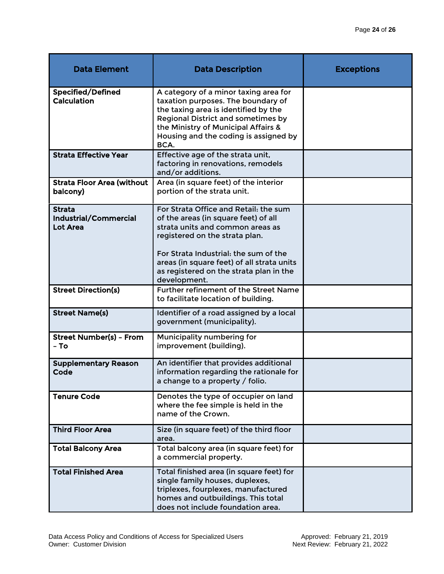| <b>Data Element</b>                                | <b>Data Description</b>                                                                                                                                                                                                                                                                               | <b>Exceptions</b> |
|----------------------------------------------------|-------------------------------------------------------------------------------------------------------------------------------------------------------------------------------------------------------------------------------------------------------------------------------------------------------|-------------------|
| Specified/Defined<br>Calculation                   | A category of a minor taxing area for<br>taxation purposes. The boundary of<br>the taxing area is identified by the<br><b>Regional District and sometimes by</b><br>the Ministry of Municipal Affairs &<br>Housing and the coding is assigned by<br>BCA.                                              |                   |
| <b>Strata Effective Year</b>                       | Effective age of the strata unit,<br>factoring in renovations, remodels<br>and/or additions.                                                                                                                                                                                                          |                   |
| <b>Strata Floor Area (without</b><br>balcony)      | Area (in square feet) of the interior<br>portion of the strata unit.                                                                                                                                                                                                                                  |                   |
| <b>Strata</b><br>Industrial/Commercial<br>Lot Area | For Strata Office and Retail: the sum<br>of the areas (in square feet) of all<br>strata units and common areas as<br>registered on the strata plan.<br>For Strata Industrial: the sum of the<br>areas (in square feet) of all strata units<br>as registered on the strata plan in the<br>development. |                   |
| <b>Street Direction(s)</b>                         | Further refinement of the Street Name<br>to facilitate location of building.                                                                                                                                                                                                                          |                   |
| <b>Street Name(s)</b>                              | Identifier of a road assigned by a local<br>government (municipality).                                                                                                                                                                                                                                |                   |
| <b>Street Number(s) - From</b><br>– To             | Municipality numbering for<br>improvement (building).                                                                                                                                                                                                                                                 |                   |
| <b>Supplementary Reason</b><br>Code                | An identifier that provides additional<br>information regarding the rationale for<br>a change to a property / folio.                                                                                                                                                                                  |                   |
| <b>Tenure Code</b>                                 | Denotes the type of occupier on land<br>where the fee simple is held in the<br>name of the Crown.                                                                                                                                                                                                     |                   |
| <b>Third Floor Area</b>                            | Size (in square feet) of the third floor<br>area.                                                                                                                                                                                                                                                     |                   |
| <b>Total Balcony Area</b>                          | Total balcony area (in square feet) for<br>a commercial property.                                                                                                                                                                                                                                     |                   |
| <b>Total Finished Area</b>                         | Total finished area (in square feet) for<br>single family houses, duplexes,<br>triplexes, fourplexes, manufactured<br>homes and outbuildings. This total<br>does not include foundation area.                                                                                                         |                   |